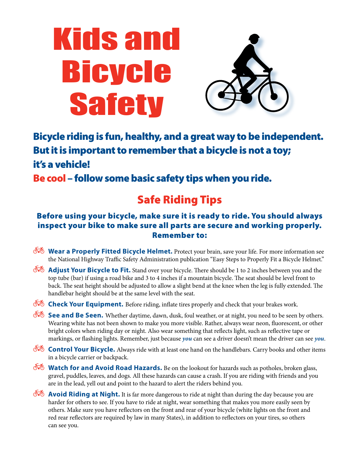# Kids and Bicycle **Safety**



Bicycle riding is fun, healthy, and a great way to be independent. But it is important to remember that a bicycle is not a toy; it's a vehicle!

Be cool – follow some basic safety tips when you ride.

## Safe Riding Tips

#### Before using your bicycle, make sure it is ready to ride. You should always inspect your bike to make sure all parts are secure and working properly. Remember to:

- $\delta$  **Wear a Properly Fitted Bicycle Helmet.** Protect your brain, save your life. For more information see the National Highway Traffic Safety Administration publication "Easy Steps to Properly Fit a Bicycle Helmet."
- $\delta$  **Adjust Your Bicycle to Fit.** Stand over your bicycle. There should be 1 to 2 inches between you and the top tube (bar) if using a road bike and 3 to 4 inches if a mountain bicycle. The seat should be level front to back. The seat height should be adjusted to allow a slight bend at the knee when the leg is fully extended. The handlebar height should be at the same level with the seat.
- $\delta$  **Check Your Equipment.** Before riding, inflate tires properly and check that your brakes work.
- $\overline{\mathcal{N}}$  **See and Be Seen.** Whether daytime, dawn, dusk, foul weather, or at night, you need to be seen by others. Wearing white has not been shown to make you more visible. Rather, always wear neon, fluorescent, or other bright colors when riding day or night. Also wear something that reflects light, such as reflective tape or markings, or flashing lights. Remember, just because *you* can see a driver doesn't mean the driver can see *you*.
- $\overline{\text{67}}$  **Control Your Bicycle.** Always ride with at least one hand on the handlebars. Carry books and other items in a bicycle carrier or backpack.
- $\delta$  **Watch for and Avoid Road Hazards.** Be on the lookout for hazards such as potholes, broken glass, gravel, puddles, leaves, and dogs. All these hazards can cause a crash. If you are riding with friends and you are in the lead, yell out and point to the hazard to alert the riders behind you.
- $\delta$  **Avoid Riding at Night.** It is far more dangerous to ride at night than during the day because you are harder for others to see. If you have to ride at night, wear something that makes you more easily seen by others. Make sure you have reflectors on the front and rear of your bicycle (white lights on the front and red rear reflectors are required by law in many States), in addition to reflectors on your tires, so others can see you.